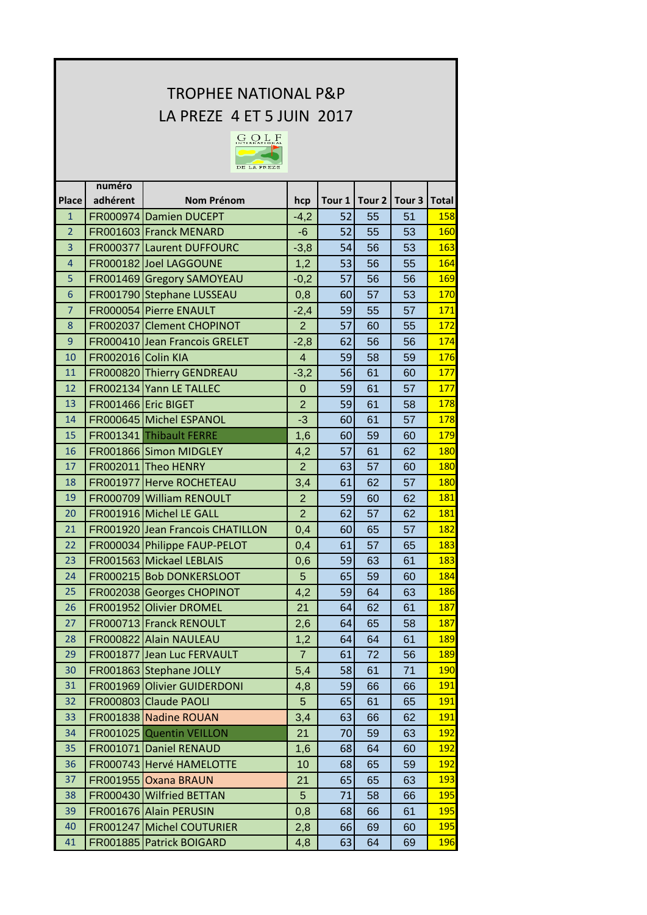## TROPHEE NATIONAL P&P LA PREZE 4 ET 5 JUIN 2017



|                 | numéro              |                                  |                 |        |                   |                   |              |
|-----------------|---------------------|----------------------------------|-----------------|--------|-------------------|-------------------|--------------|
| <b>Place</b>    | adhérent            | Nom Prénom                       | hcp             | Tour 1 | Tour <sub>2</sub> | Tour <sub>3</sub> | <b>Total</b> |
| $\overline{1}$  |                     | FR000974 Damien DUCEPT           | $-4,2$          | 52     | 55                | 51                | <b>158</b>   |
| $\overline{2}$  |                     | FR001603 Franck MENARD           | $-6$            | 52     | 55                | 53                | <b>160</b>   |
| 3               |                     | FR000377 Laurent DUFFOURC        | $-3,8$          | 54     | 56                | 53                | 163          |
| $\overline{4}$  |                     | FR000182 Joel LAGGOUNE           | 1,2             | 53     | 56                | 55                | 164          |
| 5               |                     | FR001469 Gregory SAMOYEAU        | $-0,2$          | 57     | 56                | 56                | <b>169</b>   |
| $6\phantom{1}6$ |                     | FR001790 Stephane LUSSEAU        | 0,8             | 60     | 57                | 53                | <b>170</b>   |
| $\overline{7}$  |                     | FR000054 Pierre ENAULT           | $-2,4$          | 59     | 55                | 57                | 171          |
| 8               |                     | FR002037 Clement CHOPINOT        | $\overline{2}$  | 57     | 60                | 55                | <b>172</b>   |
| 9               |                     | FR000410 Jean Francois GRELET    | $-2,8$          | 62     | 56                | 56                | 174          |
| 10              | FR002016 Colin KIA  |                                  | 4               | 59     | 58                | 59                | <b>176</b>   |
| 11              |                     | FR000820 Thierry GENDREAU        | $-3,2$          | 56     | 61                | 60                | 177          |
| 12              |                     | FR002134 Yann LE TALLEC          | $\mathbf 0$     | 59     | 61                | 57                | 177          |
| 13              | FR001466 Eric BIGET |                                  | $\overline{2}$  | 59     | 61                | 58                | <b>178</b>   |
| 14              |                     | FR000645 Michel ESPANOL          | $-3$            | 60     | 61                | 57                | 178          |
| 15              |                     | FR001341 Thibault FERRE          | 1,6             | 60     | 59                | 60                | <b>179</b>   |
| 16              |                     | FR001866 Simon MIDGLEY           | 4,2             | 57     | 61                | 62                | <b>180</b>   |
| 17              |                     | FR002011 Theo HENRY              | $\overline{2}$  | 63     | 57                | 60                | <b>180</b>   |
| 18              |                     | FR001977 Herve ROCHETEAU         | 3,4             | 61     | 62                | 57                | <b>180</b>   |
| 19              |                     | FR000709 William RENOULT         | $\overline{2}$  | 59     | 60                | 62                | 181          |
| 20              |                     | FR001916 Michel LE GALL          | $\overline{2}$  | 62     | 57                | 62                | <b>181</b>   |
| 21              |                     | FR001920 Jean Francois CHATILLON | 0,4             | 60     | 65                | 57                | 182          |
| 22              |                     | FR000034 Philippe FAUP-PELOT     | 0,4             | 61     | 57                | 65                | <b>183</b>   |
| 23              |                     | FR001563 Mickael LEBLAIS         | 0,6             | 59     | 63                | 61                | <b>183</b>   |
| 24              |                     | FR000215 Bob DONKERSLOOT         | 5               | 65     | 59                | 60                | 184          |
| 25              |                     | FR002038 Georges CHOPINOT        | 4,2             | 59     | 64                | 63                | <b>186</b>   |
| 26              |                     | FR001952 Olivier DROMEL          | 21              | 64     | 62                | 61                | 187          |
| 27              |                     | FR000713 Franck RENOULT          | 2,6             | 64     | 65                | 58                | <b>187</b>   |
| 28              |                     | FR000822 Alain NAULEAU           | 1,2             | 64     | 64                | 61                | <b>189</b>   |
| 29              |                     | FR001877 Jean Luc FERVAULT       | $\overline{7}$  | 61     | 72                | 56                | <b>189</b>   |
| 30              |                     | FR001863 Stephane JOLLY          | 5,4             | 58     | 61                | 71                | <u> 190</u>  |
| 31              |                     | FR001969 Olivier GUIDERDONI      | 4,8             | 59     | 66                | 66                | <b>191</b>   |
| 32              |                     | FR000803 Claude PAOLI            | 5               | 65     | 61                | 65                | 191          |
| 33              |                     | FR001838 Nadine ROUAN            | 3,4             | 63     | 66                | 62                | <b>191</b>   |
| 34              |                     | FR001025 Quentin VEILLON         | 21              | 70     | 59                | 63                | <u>192</u>   |
| 35              |                     | FR001071 Daniel RENAUD           | 1,6             | 68     | 64                | 60                | <b>192</b>   |
| 36              |                     | FR000743 Hervé HAMELOTTE         | 10              | 68     | 65                | 59                | <b>192</b>   |
| 37              |                     | FR001955 Oxana BRAUN             | 21              | 65     | 65                | 63                | <b>193</b>   |
| 38              |                     | FR000430 Wilfried BETTAN         | $5\phantom{.0}$ | 71     | 58                | 66                | <b>195</b>   |
| 39              |                     | FR001676 Alain PERUSIN           | 0,8             | 68     | 66                | 61                | <b>195</b>   |
| 40              | FR001247            | Michel COUTURIER                 | 2,8             | 66     | 69                | 60                | <b>195</b>   |
| 41              |                     | FR001885 Patrick BOIGARD         | 4,8             | 63     | 64                | 69                | <b>196</b>   |